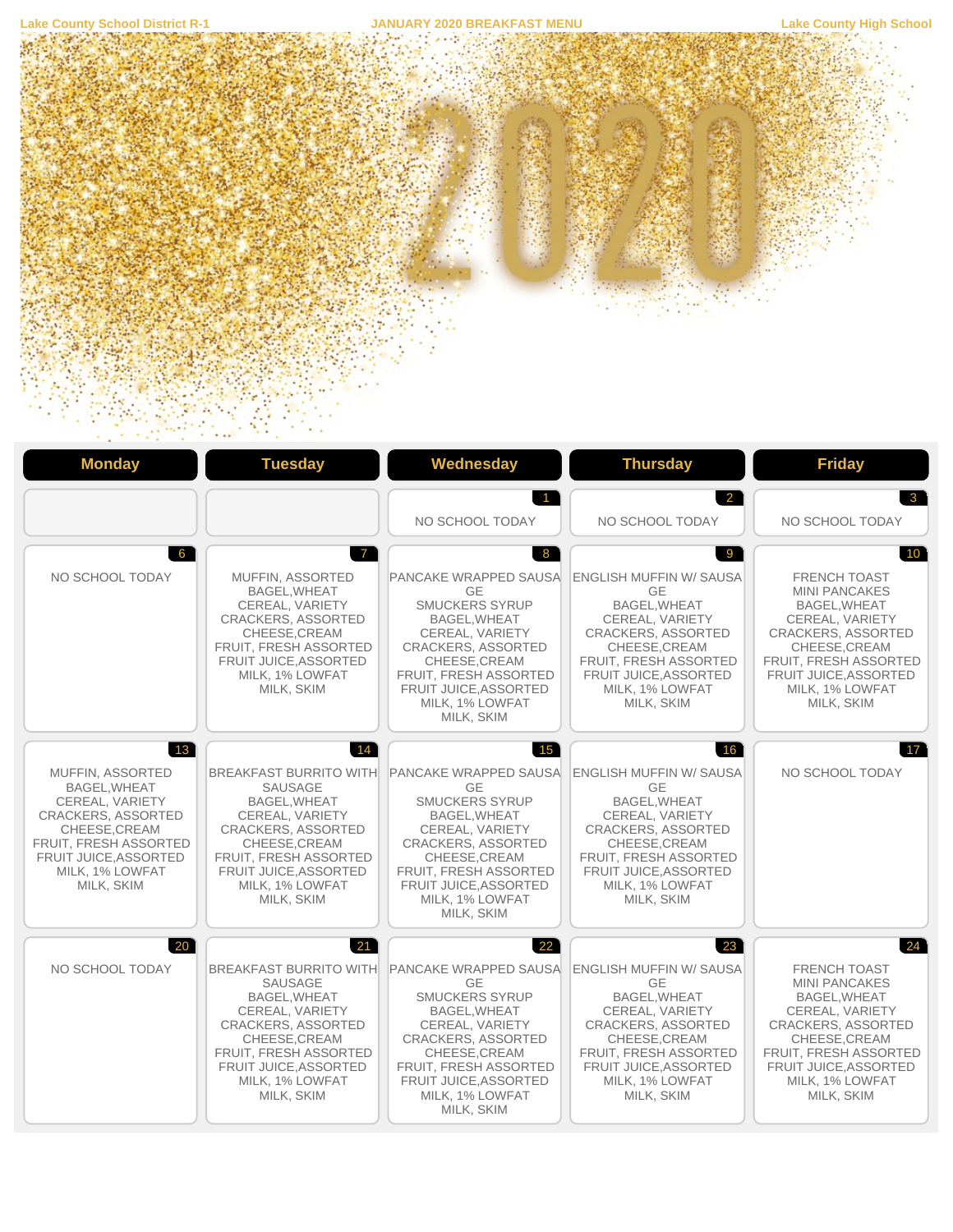

|                                                                                                                                                                                                            |                                                                                                                                                                                                                                 | $\overline{1}$<br>NO SCHOOL TODAY                                                                                                                                                                                                                               | 2<br>NO SCHOOL TODAY                                                                                                                                                                                                  | $\mathbf{3}$<br>NO SCHOOL TODAY                                                                                                                                                                                                    |
|------------------------------------------------------------------------------------------------------------------------------------------------------------------------------------------------------------|---------------------------------------------------------------------------------------------------------------------------------------------------------------------------------------------------------------------------------|-----------------------------------------------------------------------------------------------------------------------------------------------------------------------------------------------------------------------------------------------------------------|-----------------------------------------------------------------------------------------------------------------------------------------------------------------------------------------------------------------------|------------------------------------------------------------------------------------------------------------------------------------------------------------------------------------------------------------------------------------|
| 6<br>NO SCHOOL TODAY                                                                                                                                                                                       | $7^{\circ}$<br>MUFFIN, ASSORTED<br>BAGEL, WHEAT<br>CEREAL, VARIETY<br><b>CRACKERS, ASSORTED</b><br>CHEESE.CREAM<br><b>FRUIT. FRESH ASSORTED</b><br>FRUIT JUICE, ASSORTED<br>MILK, 1% LOWFAT<br>MILK, SKIM                       | 8<br>PANCAKE WRAPPED SAUSA<br><b>GE</b><br><b>SMUCKERS SYRUP</b><br><b>BAGEL, WHEAT</b><br>CEREAL, VARIETY<br><b>CRACKERS, ASSORTED</b><br>CHEESE, CREAM<br>FRUIT, FRESH ASSORTED<br>FRUIT JUICE, ASSORTED<br>MILK, 1% LOWFAT<br>MILK, SKIM                     | 9<br><b>ENGLISH MUFFIN W/ SAUSA</b><br>GE<br>BAGEL, WHEAT<br>CEREAL, VARIETY<br><b>CRACKERS, ASSORTED</b><br>CHEESE.CREAM<br><b>FRUIT. FRESH ASSORTED</b><br>FRUIT JUICE, ASSORTED<br>MILK, 1% LOWFAT<br>MILK, SKIM   | 10 <sup>°</sup><br><b>FRENCH TOAST</b><br><b>MINI PANCAKES</b><br>BAGEL, WHEAT<br>CEREAL, VARIETY<br><b>CRACKERS, ASSORTED</b><br>CHEESE, CREAM<br>FRUIT, FRESH ASSORTED<br>FRUIT JUICE, ASSORTED<br>MILK, 1% LOWFAT<br>MILK, SKIM |
| $ 13\rangle$<br>MUFFIN, ASSORTED<br><b>BAGEL.WHEAT</b><br>CEREAL, VARIETY<br><b>CRACKERS, ASSORTED</b><br>CHEESE, CREAM<br>FRUIT, FRESH ASSORTED<br>FRUIT JUICE, ASSORTED<br>MILK, 1% LOWFAT<br>MILK, SKIM | 14<br><b>BREAKFAST BURRITO WITH</b><br>SAUSAGE<br>BAGEL.WHEAT<br>CEREAL, VARIETY<br>CRACKERS, ASSORTED<br>CHEESE, CREAM<br>FRUIT, FRESH ASSORTED<br>FRUIT JUICE, ASSORTED<br>MILK. 1% LOWFAT<br>MILK, SKIM                      | 15<br><b>PANCAKE WRAPPED SAUSA</b><br><b>GE</b><br><b>SMUCKERS SYRUP</b><br>BAGEL, WHEAT<br>CEREAL, VARIETY<br><b>CRACKERS, ASSORTED</b><br>CHEESE, CREAM<br>FRUIT, FRESH ASSORTED<br>FRUIT JUICE, ASSORTED<br>MILK, 1% LOWFAT<br>MILK, SKIM                    | 16<br><b>ENGLISH MUFFIN W/ SAUSA</b><br><b>GE</b><br>BAGEL.WHEAT<br>CEREAL, VARIETY<br>CRACKERS, ASSORTED<br>CHEESE, CREAM<br>FRUIT, FRESH ASSORTED<br>FRUIT JUICE, ASSORTED<br>MILK. 1% LOWFAT<br>MILK, SKIM         | 17<br>NO SCHOOL TODAY                                                                                                                                                                                                              |
| 20 <sup>1</sup><br>NO SCHOOL TODAY                                                                                                                                                                         | 21<br><b>BREAKFAST BURRITO WITH</b><br><b>SAUSAGE</b><br>BAGEL, WHEAT<br>CEREAL, VARIETY<br><b>CRACKERS, ASSORTED</b><br>CHEESE, CREAM<br>FRUIT, FRESH ASSORTED<br><b>FRUIT JUICE.ASSORTED</b><br>MILK, 1% LOWFAT<br>MILK, SKIM | $22^{\degree}$<br>PANCAKE WRAPPED SAUSA<br><b>GE</b><br><b>SMUCKERS SYRUP</b><br><b>BAGEL, WHEAT</b><br>CEREAL, VARIETY<br><b>CRACKERS, ASSORTED</b><br>CHEESE, CREAM<br><b>FRUIT. FRESH ASSORTED</b><br>FRUIT JUICE, ASSORTED<br>MILK, 1% LOWFAT<br>MILK, SKIM | 23<br><b>ENGLISH MUFFIN W/ SAUSA</b><br><b>GE</b><br>BAGEL, WHEAT<br>CEREAL, VARIETY<br><b>CRACKERS, ASSORTED</b><br>CHEESE, CREAM<br>FRUIT, FRESH ASSORTED<br>FRUIT JUICE, ASSORTED<br>MILK, 1% LOWFAT<br>MILK, SKIM | 24<br>FRENCH TOAST<br><b>MINI PANCAKES</b><br>BAGEL, WHEAT<br>CEREAL, VARIETY<br><b>CRACKERS, ASSORTED</b><br>CHEESE, CREAM<br>FRUIT, FRESH ASSORTED<br>FRUIT JUICE, ASSORTED<br>MILK, 1% LOWFAT<br>MILK, SKIM                     |